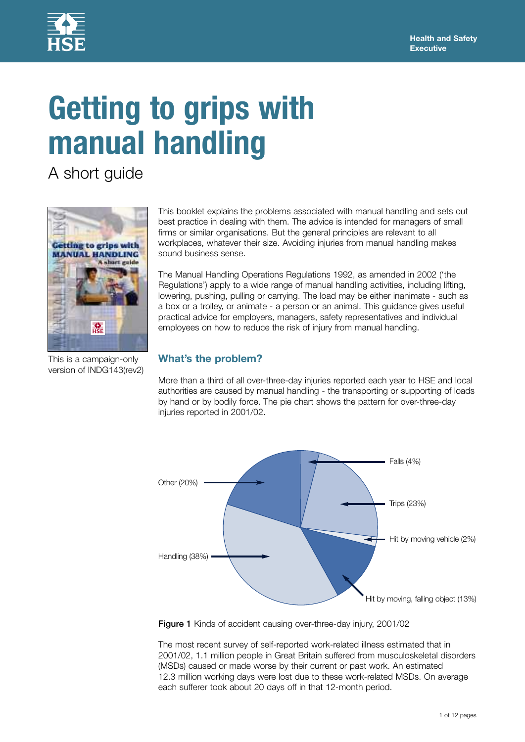

# **Getting to grips with manual handling**

A short guide



This is a campaign-only version of INDG143(rev2)

This booklet explains the problems associated with manual handling and sets out best practice in dealing with them. The advice is intended for managers of small firms or similar organisations. But the general principles are relevant to all workplaces, whatever their size. Avoiding injuries from manual handling makes sound business sense.

The Manual Handling Operations Regulations 1992, as amended in 2002 ('the Regulations') apply to a wide range of manual handling activities, including lifting, lowering, pushing, pulling or carrying. The load may be either inanimate - such as a box or a trolley, or animate - a person or an animal. This guidance gives useful practical advice for employers, managers, safety representatives and individual employees on how to reduce the risk of injury from manual handling.

# **What's the problem?**

More than a third of all over-three-day injuries reported each year to HSE and local authorities are caused by manual handling - the transporting or supporting of loads by hand or by bodily force. The pie chart shows the pattern for over-three-day injuries reported in 2001/02.



**Figure 1** Kinds of accident causing over-three-day injury, 2001/02

The most recent survey of self-reported work-related illness estimated that in 2001/02, 1.1 million people in Great Britain suffered from musculoskeletal disorders (MSDs) caused or made worse by their current or past work. An estimated 12.3 million working days were lost due to these work-related MSDs. On average each sufferer took about 20 days off in that 12-month period.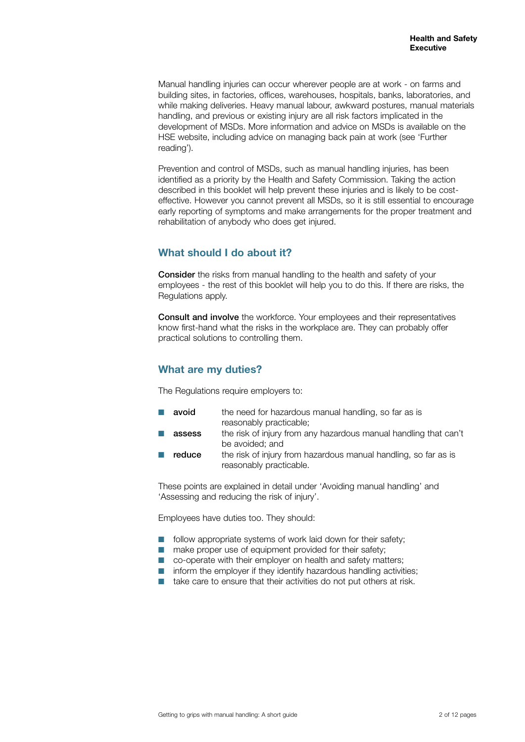Manual handling injuries can occur wherever people are at work - on farms and building sites, in factories, offices, warehouses, hospitals, banks, laboratories, and while making deliveries. Heavy manual labour, awkward postures, manual materials handling, and previous or existing injury are all risk factors implicated in the development of MSDs. More information and advice on MSDs is available on the HSE website, including advice on managing back pain at work (see 'Further reading').

Prevention and control of MSDs, such as manual handling injuries, has been identified as a priority by the Health and Safety Commission. Taking the action described in this booklet will help prevent these injuries and is likely to be costeffective. However you cannot prevent all MSDs, so it is still essential to encourage early reporting of symptoms and make arrangements for the proper treatment and rehabilitation of anybody who does get injured.

# **What should I do about it?**

**Consider** the risks from manual handling to the health and safety of your employees - the rest of this booklet will help you to do this. If there are risks, the Regulations apply.

**Consult and involve** the workforce. Your employees and their representatives know first-hand what the risks in the workplace are. They can probably offer practical solutions to controlling them.

# **What are my duties?**

The Regulations require employers to:

- **avoid** the need for hazardous manual handling, so far as is reasonably practicable;
- **assess** the risk of injury from any hazardous manual handling that can't be avoided; and
- **reduce** the risk of injury from hazardous manual handling, so far as is reasonably practicable.

These points are explained in detail under 'Avoiding manual handling' and 'Assessing and reducing the risk of injury'.

Employees have duties too. They should:

- follow appropriate systems of work laid down for their safety;
- make proper use of equipment provided for their safety;
- co-operate with their employer on health and safety matters;
- inform the employer if they identify hazardous handling activities;
- take care to ensure that their activities do not put others at risk.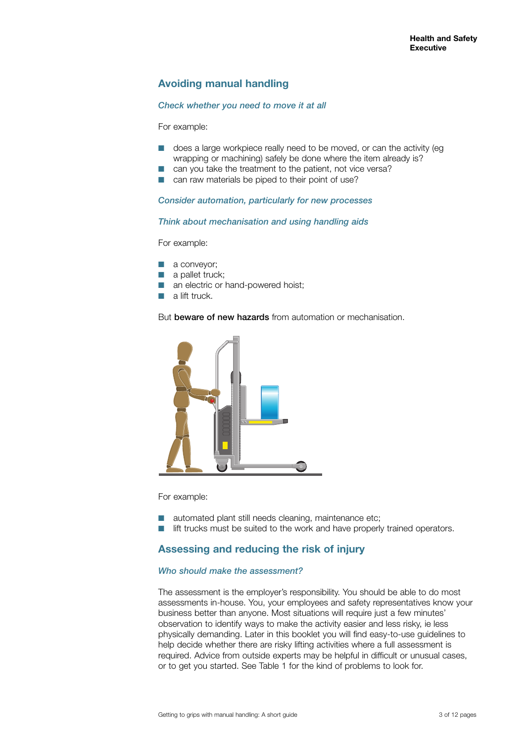# **Avoiding manual handling**

#### *Check whether you need to move it at all*

For example:

- does a large workpiece really need to be moved, or can the activity (eg wrapping or machining) safely be done where the item already is?
- can you take the treatment to the patient, not vice versa?
- can raw materials be piped to their point of use?

### *Consider automation, particularly for new processes*

*Think about mechanisation and using handling aids* 

For example:

- a conveyor;
- a pallet truck:
- an electric or hand-powered hoist:
- a lift truck.

But **beware of new hazards** from automation or mechanisation.



For example:

- automated plant still needs cleaning, maintenance etc;
- lift trucks must be suited to the work and have properly trained operators.

# **Assessing and reducing the risk of injury**

#### *Who should make the assessment?*

The assessment is the employer's responsibility. You should be able to do most assessments in-house. You, your employees and safety representatives know your business better than anyone. Most situations will require just a few minutes' observation to identify ways to make the activity easier and less risky, ie less physically demanding. Later in this booklet you will find easy-to-use guidelines to help decide whether there are risky lifting activities where a full assessment is required. Advice from outside experts may be helpful in difficult or unusual cases, or to get you started. See Table 1 for the kind of problems to look for.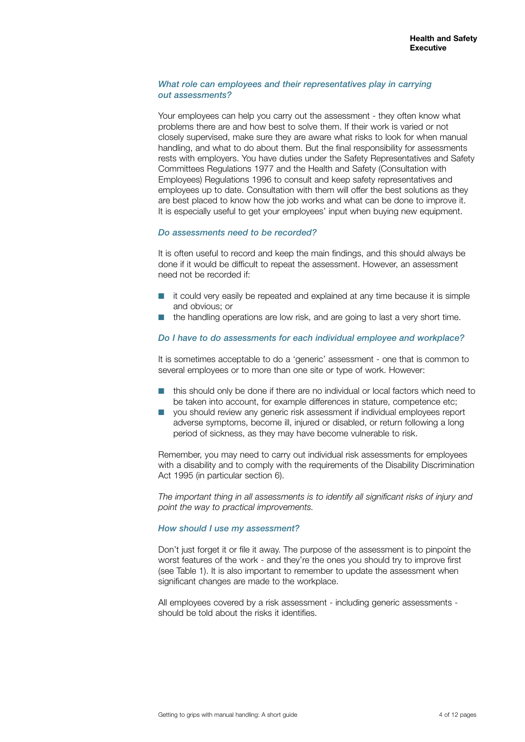### *What role can employees and their representatives play in carrying out assessments?*

Your employees can help you carry out the assessment - they often know what problems there are and how best to solve them. If their work is varied or not closely supervised, make sure they are aware what risks to look for when manual handling, and what to do about them. But the final responsibility for assessments rests with employers. You have duties under the Safety Representatives and Safety Committees Regulations 1977 and the Health and Safety (Consultation with Employees) Regulations 1996 to consult and keep safety representatives and employees up to date. Consultation with them will offer the best solutions as they are best placed to know how the job works and what can be done to improve it. It is especially useful to get your employees' input when buying new equipment.

### *Do assessments need to be recorded?*

It is often useful to record and keep the main findings, and this should always be done if it would be difficult to repeat the assessment. However, an assessment need not be recorded if:

- it could very easily be repeated and explained at any time because it is simple and obvious; or
- the handling operations are low risk, and are going to last a very short time.

### *Do I have to do assessments for each individual employee and workplace?*

It is sometimes acceptable to do a 'generic' assessment - one that is common to several employees or to more than one site or type of work. However:

- this should only be done if there are no individual or local factors which need to be taken into account, for example differences in stature, competence etc;
- you should review any generic risk assessment if individual employees report adverse symptoms, become ill, injured or disabled, or return following a long period of sickness, as they may have become vulnerable to risk.

Remember, you may need to carry out individual risk assessments for employees with a disability and to comply with the requirements of the Disability Discrimination Act 1995 (in particular section 6).

*The important thing in all assessments is to identify all significant risks of injury and point the way to practical improvements.* 

#### *How should I use my assessment?*

Don't just forget it or file it away. The purpose of the assessment is to pinpoint the worst features of the work - and they're the ones you should try to improve first (see Table 1). It is also important to remember to update the assessment when significant changes are made to the workplace.

All employees covered by a risk assessment - including generic assessments should be told about the risks it identifies.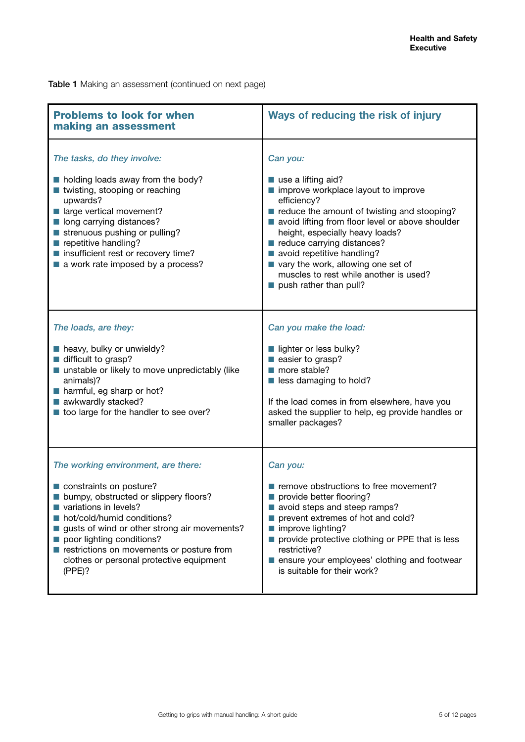**Table 1** Making an assessment (continued on next page)

| <b>Problems to look for when</b><br>making an assessment                                                                                                                                                                                                                                                       | Ways of reducing the risk of injury                                                                                                                                                                                                                                                                                                                                                                             |  |  |
|----------------------------------------------------------------------------------------------------------------------------------------------------------------------------------------------------------------------------------------------------------------------------------------------------------------|-----------------------------------------------------------------------------------------------------------------------------------------------------------------------------------------------------------------------------------------------------------------------------------------------------------------------------------------------------------------------------------------------------------------|--|--|
| The tasks, do they involve:<br>Inolding loads away from the body?<br>twisting, stooping or reaching<br>upwards?<br>large vertical movement?<br>long carrying distances?<br>strenuous pushing or pulling?<br>repetitive handling?<br>■ insufficient rest or recovery time?<br>a work rate imposed by a process? | Can you:<br>$\blacksquare$ use a lifting aid?<br>improve workplace layout to improve<br>efficiency?<br>reduce the amount of twisting and stooping?<br>avoid lifting from floor level or above shoulder<br>height, especially heavy loads?<br>reduce carrying distances?<br>avoid repetitive handling?<br>vary the work, allowing one set of<br>muscles to rest while another is used?<br>push rather than pull? |  |  |
| The loads, are they:                                                                                                                                                                                                                                                                                           | Can you make the load:                                                                                                                                                                                                                                                                                                                                                                                          |  |  |
| heavy, bulky or unwieldy?                                                                                                                                                                                                                                                                                      | lighter or less bulky?                                                                                                                                                                                                                                                                                                                                                                                          |  |  |
| difficult to grasp?                                                                                                                                                                                                                                                                                            | easier to grasp?                                                                                                                                                                                                                                                                                                                                                                                                |  |  |
| unstable or likely to move unpredictably (like                                                                                                                                                                                                                                                                 | more stable?                                                                                                                                                                                                                                                                                                                                                                                                    |  |  |
| animals)?                                                                                                                                                                                                                                                                                                      | less damaging to hold?                                                                                                                                                                                                                                                                                                                                                                                          |  |  |
| harmful, eg sharp or hot?                                                                                                                                                                                                                                                                                      | If the load comes in from elsewhere, have you                                                                                                                                                                                                                                                                                                                                                                   |  |  |
| awkwardly stacked?                                                                                                                                                                                                                                                                                             | asked the supplier to help, eg provide handles or                                                                                                                                                                                                                                                                                                                                                               |  |  |
| too large for the handler to see over?                                                                                                                                                                                                                                                                         | smaller packages?                                                                                                                                                                                                                                                                                                                                                                                               |  |  |
| The working environment, are there:                                                                                                                                                                                                                                                                            | Can you:                                                                                                                                                                                                                                                                                                                                                                                                        |  |  |
| constraints on posture?                                                                                                                                                                                                                                                                                        | remove obstructions to free movement?                                                                                                                                                                                                                                                                                                                                                                           |  |  |
| bumpy, obstructed or slippery floors?                                                                                                                                                                                                                                                                          | provide better flooring?                                                                                                                                                                                                                                                                                                                                                                                        |  |  |
| variations in levels?                                                                                                                                                                                                                                                                                          | avoid steps and steep ramps?                                                                                                                                                                                                                                                                                                                                                                                    |  |  |
| hot/cold/humid conditions?                                                                                                                                                                                                                                                                                     | prevent extremes of hot and cold?                                                                                                                                                                                                                                                                                                                                                                               |  |  |
| gusts of wind or other strong air movements?                                                                                                                                                                                                                                                                   | improve lighting?                                                                                                                                                                                                                                                                                                                                                                                               |  |  |
| poor lighting conditions?                                                                                                                                                                                                                                                                                      | provide protective clothing or PPE that is less                                                                                                                                                                                                                                                                                                                                                                 |  |  |
| restrictions on movements or posture from                                                                                                                                                                                                                                                                      | restrictive?                                                                                                                                                                                                                                                                                                                                                                                                    |  |  |
| clothes or personal protective equipment                                                                                                                                                                                                                                                                       | ensure your employees' clothing and footwear                                                                                                                                                                                                                                                                                                                                                                    |  |  |
| (PPE)?                                                                                                                                                                                                                                                                                                         | is suitable for their work?                                                                                                                                                                                                                                                                                                                                                                                     |  |  |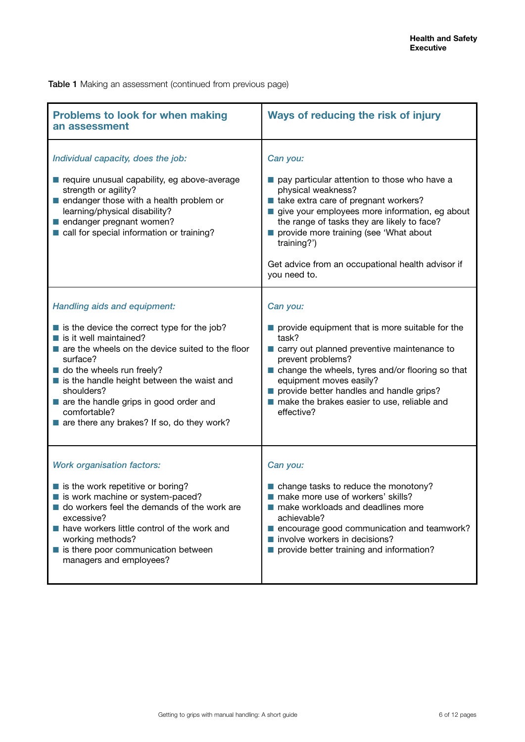**Table 1** Making an assessment (continued from previous page)

| <b>Problems to look for when making</b><br>an assessment                                                                                                                                                                                                                                                                                                               | Ways of reducing the risk of injury                                                                                                                                                                                                                                                                                                                   |  |  |
|------------------------------------------------------------------------------------------------------------------------------------------------------------------------------------------------------------------------------------------------------------------------------------------------------------------------------------------------------------------------|-------------------------------------------------------------------------------------------------------------------------------------------------------------------------------------------------------------------------------------------------------------------------------------------------------------------------------------------------------|--|--|
| Individual capacity, does the job:<br>require unusual capability, eg above-average<br>strength or agility?<br>endanger those with a health problem or<br>learning/physical disability?<br>endanger pregnant women?<br>call for special information or training?                                                                                                        | Can you:<br>pay particular attention to those who have a<br>physical weakness?<br>take extra care of pregnant workers?<br>give your employees more information, eg about<br>the range of tasks they are likely to face?<br>provide more training (see 'What about<br>training?')<br>Get advice from an occupational health advisor if<br>you need to. |  |  |
| Handling aids and equipment:<br>is the device the correct type for the job?<br>is it well maintained?<br>are the wheels on the device suited to the floor<br>surface?<br>do the wheels run freely?<br>is the handle height between the waist and<br>shoulders?<br>are the handle grips in good order and<br>comfortable?<br>are there any brakes? If so, do they work? | Can you:<br>$\blacksquare$ provide equipment that is more suitable for the<br>task?<br>carry out planned preventive maintenance to<br>prevent problems?<br>change the wheels, tyres and/or flooring so that<br>equipment moves easily?<br>provide better handles and handle grips?<br>make the brakes easier to use, reliable and<br>effective?       |  |  |
| <b>Work organisation factors:</b><br>$\blacksquare$ is the work repetitive or boring?<br>is work machine or system-paced?<br>do workers feel the demands of the work are<br>excessive?<br>■ have workers little control of the work and<br>working methods?<br>is there poor communication between<br>managers and employees?                                          | Can you:<br>change tasks to reduce the monotony?<br>make more use of workers' skills?<br>■ make workloads and deadlines more<br>achievable?<br>encourage good communication and teamwork?<br>involve workers in decisions?<br>provide better training and information?                                                                                |  |  |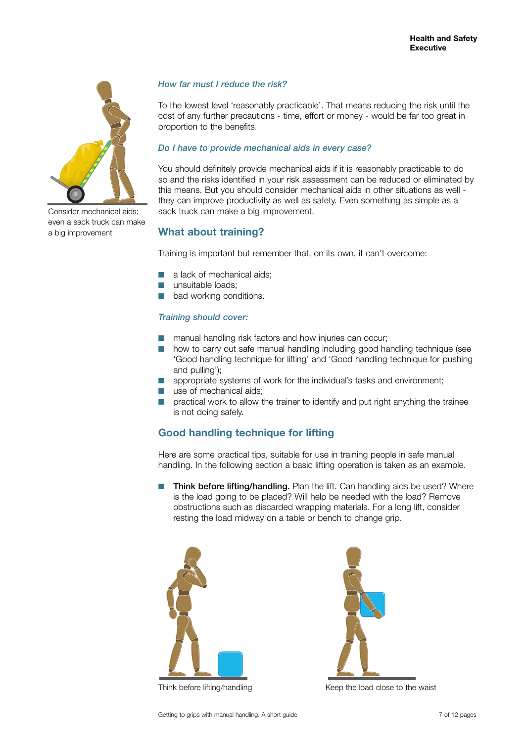

Consider mechanical aids; even a sack truck can make a big improvement

## *How far must I reduce the risk?*

To the lowest level 'reasonably practicable'. That means reducing the risk until the cost of any further precautions - time, effort or money - would be far too great in proportion to the benefits.

## *Do I have to provide mechanical aids in every case?*

You should definitely provide mechanical aids if it is reasonably practicable to do so and the risks identified in your risk assessment can be reduced or eliminated by this means. But you should consider mechanical aids in other situations as well they can improve productivity as well as safety. Even something as simple as a sack truck can make a big improvement.

# **What about training?**

Training is important but remember that, on its own, it can't overcome:

- a lack of mechanical aids:
- unsuitable loads:
- bad working conditions.

## *Training should cover:*

- manual handling risk factors and how injuries can occur;
- how to carry out safe manual handling including good handling technique (see 'Good handling technique for lifting' and 'Good handling technique for pushing and pulling');
- appropriate systems of work for the individual's tasks and environment;
- use of mechanical aids;
- practical work to allow the trainer to identify and put right anything the trainee is not doing safely.

# **Good handling technique for lifting**

Here are some practical tips, suitable for use in training people in safe manual handling. In the following section a basic lifting operation is taken as an example.

■ **Think before lifting/handling.** Plan the lift. Can handling aids be used? Where is the load going to be placed? Will help be needed with the load? Remove obstructions such as discarded wrapping materials. For a long lift, consider resting the load midway on a table or bench to change grip.





Think before lifting/handling Think before lifting/handling Keep the load close to the waist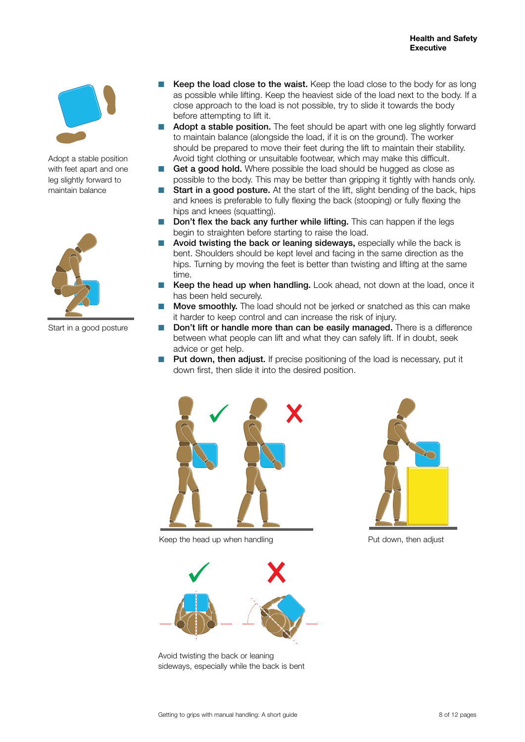

Adopt a stable position with feet apart and one leg slightly forward to maintain balance



Start in a good posture

- **Keep the load close to the waist.** Keep the load close to the body for as long as possible while lifting. Keep the heaviest side of the load next to the body. If a close approach to the load is not possible, try to slide it towards the body before attempting to lift it.
- **Adopt a stable position.** The feet should be apart with one leg slightly forward to maintain balance (alongside the load, if it is on the ground). The worker should be prepared to move their feet during the lift to maintain their stability. Avoid tight clothing or unsuitable footwear, which may make this difficult.
- **Get a good hold.** Where possible the load should be hugged as close as possible to the body. This may be better than gripping it tightly with hands only.
- Start in a good posture. At the start of the lift, slight bending of the back, hips and knees is preferable to fully flexing the back (stooping) or fully flexing the hips and knees (squatting).
- **Don't flex the back any further while lifting.** This can happen if the legs begin to straighten before starting to raise the load.
- **Avoid twisting the back or leaning sideways, especially while the back is** bent. Shoulders should be kept level and facing in the same direction as the hips. Turning by moving the feet is better than twisting and lifting at the same time.
- **Keep the head up when handling.** Look ahead, not down at the load, once it has been held securely.
- **Move smoothly.** The load should not be jerked or snatched as this can make it harder to keep control and can increase the risk of injury.
- **Don't lift or handle more than can be easily managed.** There is a difference between what people can lift and what they can safely lift. If in doubt, seek advice or get help.
- Put down, then adjust. If precise positioning of the load is necessary, put it down first, then slide it into the desired position.



Keep the head up when handling example and the Put down, then adjust



Avoid twisting the back or leaning sideways, especially while the back is bent

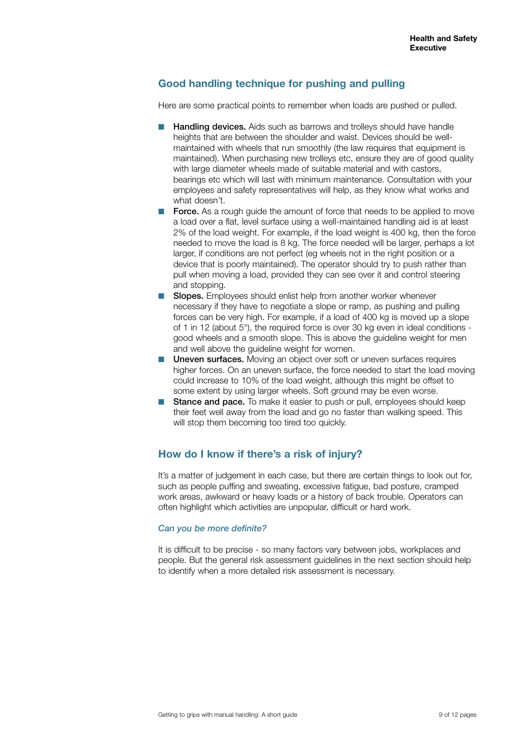# **Good handling technique for pushing and pulling**

Here are some practical points to remember when loads are pushed or pulled.

- **Handling devices.** Aids such as barrows and trolleys should have handle heights that are between the shoulder and waist. Devices should be wellmaintained with wheels that run smoothly (the law requires that equipment is maintained). When purchasing new trolleys etc, ensure they are of good quality with large diameter wheels made of suitable material and with castors, bearings etc which will last with minimum maintenance. Consultation with your employees and safety representatives will help, as they know what works and what doesn't.
- **Force.** As a rough guide the amount of force that needs to be applied to move a load over a flat, level surface using a well-maintained handling aid is at least 2% of the load weight. For example, if the load weight is 400 kg, then the force needed to move the load is 8 kg. The force needed will be larger, perhaps a lot larger, if conditions are not perfect (eg wheels not in the right position or a device that is poorly maintained). The operator should try to push rather than pull when moving a load, provided they can see over it and control steering and stopping.
- **Slopes.** Employees should enlist help from another worker whenever necessary if they have to negotiate a slope or ramp, as pushing and pulling forces can be very high. For example, if a load of 400 kg is moved up a slope of 1 in 12 (about 5°), the required force is over 30 kg even in ideal conditions good wheels and a smooth slope. This is above the guideline weight for men and well above the guideline weight for women.
- **Uneven surfaces.** Moving an object over soft or uneven surfaces requires higher forces. On an uneven surface, the force needed to start the load moving could increase to 10% of the load weight, although this might be offset to some extent by using larger wheels. Soft ground may be even worse.
- **Stance and pace.** To make it easier to push or pull, employees should keep their feet well away from the load and go no faster than walking speed. This will stop them becoming too tired too quickly.

# **How do I know if there's a risk of injury?**

It's a matter of judgement in each case, but there are certain things to look out for, such as people puffing and sweating, excessive fatigue, bad posture, cramped work areas, awkward or heavy loads or a history of back trouble. Operators can often highlight which activities are unpopular, difficult or hard work.

### *Can you be more definite?*

It is difficult to be precise - so many factors vary between jobs, workplaces and people. But the general risk assessment guidelines in the next section should help to identify when a more detailed risk assessment is necessary.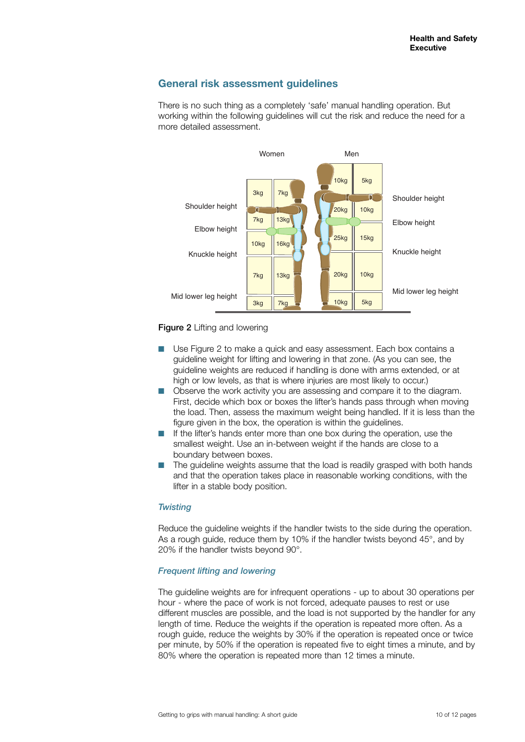## **General risk assessment guidelines**

There is no such thing as a completely 'safe' manual handling operation. But working within the following guidelines will cut the risk and reduce the need for a more detailed assessment.



## **Figure 2** Lifting and lowering

- Use Figure 2 to make a quick and easy assessment. Each box contains a guideline weight for lifting and lowering in that zone. (As you can see, the guideline weights are reduced if handling is done with arms extended, or at high or low levels, as that is where injuries are most likely to occur.)
- Observe the work activity you are assessing and compare it to the diagram. First, decide which box or boxes the lifter's hands pass through when moving the load. Then, assess the maximum weight being handled. If it is less than the figure given in the box, the operation is within the guidelines.
- If the lifter's hands enter more than one box during the operation, use the smallest weight. Use an in-between weight if the hands are close to a boundary between boxes.
- The guideline weights assume that the load is readily grasped with both hands and that the operation takes place in reasonable working conditions, with the lifter in a stable body position.

### *Twisting*

Reduce the guideline weights if the handler twists to the side during the operation. As a rough guide, reduce them by 10% if the handler twists beyond 45°, and by 20% if the handler twists beyond 90°.

### *Frequent lifting and lowering*

The guideline weights are for infrequent operations - up to about 30 operations per hour - where the pace of work is not forced, adequate pauses to rest or use different muscles are possible, and the load is not supported by the handler for any length of time. Reduce the weights if the operation is repeated more often. As a rough guide, reduce the weights by 30% if the operation is repeated once or twice per minute, by 50% if the operation is repeated five to eight times a minute, and by 80% where the operation is repeated more than 12 times a minute.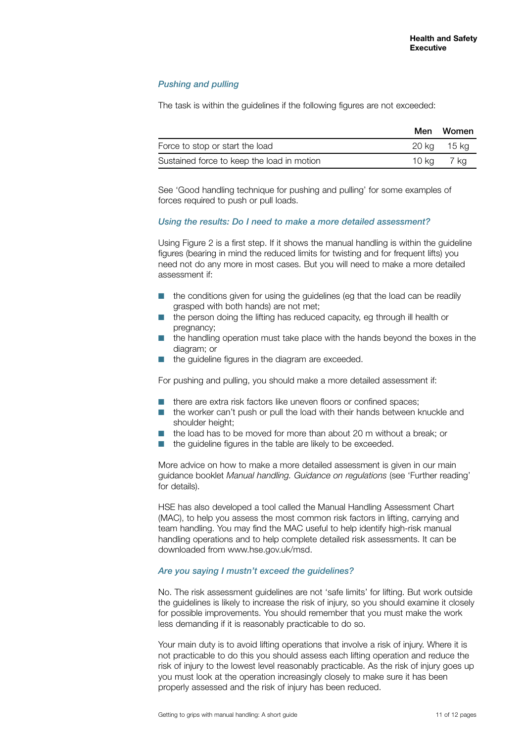## *Pushing and pulling*

The task is within the guidelines if the following figures are not exceeded:

|                                            | Men Women   |
|--------------------------------------------|-------------|
| Force to stop or start the load            | 20 kg 15 kg |
| Sustained force to keep the load in motion | 10 kg 7 kg  |

See 'Good handling technique for pushing and pulling' for some examples of forces required to push or pull loads.

#### *Using the results: Do I need to make a more detailed assessment?*

Using Figure 2 is a first step. If it shows the manual handling is within the guideline figures (bearing in mind the reduced limits for twisting and for frequent lifts) you need not do any more in most cases. But you will need to make a more detailed assessment if:

- the conditions given for using the guidelines (eg that the load can be readily grasped with both hands) are not met;
- the person doing the lifting has reduced capacity, eg through ill health or pregnancy;
- the handling operation must take place with the hands beyond the boxes in the diagram; or
- the guideline figures in the diagram are exceeded.

For pushing and pulling, you should make a more detailed assessment if:

- there are extra risk factors like uneven floors or confined spaces;
- the worker can't push or pull the load with their hands between knuckle and shoulder height;
- the load has to be moved for more than about 20 m without a break; or
- the guideline figures in the table are likely to be exceeded.

More advice on how to make a more detailed assessment is given in our main guidance booklet *Manual handling. Guidance on regulations* (see 'Further reading' for details).

HSE has also developed a tool called the Manual Handling Assessment Chart (MAC), to help you assess the most common risk factors in lifting, carrying and team handling. You may find the MAC useful to help identify high-risk manual handling operations and to help complete detailed risk assessments. It can be downloaded from www.hse.gov.uk/msd.

#### *Are you saying I mustn't exceed the guidelines?*

No. The risk assessment guidelines are not 'safe limits' for lifting. But work outside the guidelines is likely to increase the risk of injury, so you should examine it closely for possible improvements. You should remember that you must make the work less demanding if it is reasonably practicable to do so.

Your main duty is to avoid lifting operations that involve a risk of injury. Where it is not practicable to do this you should assess each lifting operation and reduce the risk of injury to the lowest level reasonably practicable. As the risk of injury goes up you must look at the operation increasingly closely to make sure it has been properly assessed and the risk of injury has been reduced.